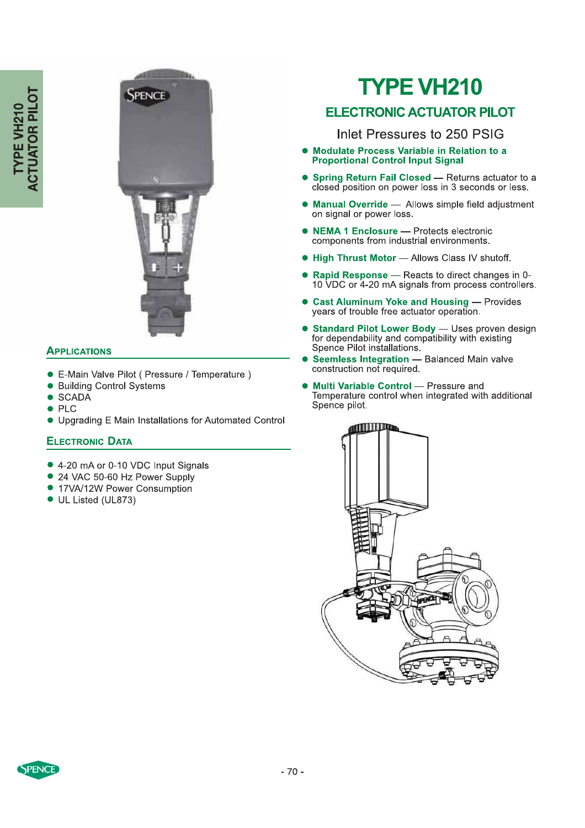

### **APPLICATIONS**

- E-Main Valve Pilot ( Pressure / Temperature )
- Building Control Systems
- $\bullet$ **SCADA**
- **PLC**  $\bullet$
- Upgrading E Main Installations for Automated Control

### **ELECTRONIC DATA**

- 4-20 mA or 0-10 VDC Input Signals
- 24 VAC 50-60 Hz Power Supply
- 17VA/12W Power Consumption
- UL Listed (UL873)

# **TYPE VH210**

# **ELECTRONIC ACTUATOR PILOT**

Inlet Pressures to 250 PSIG

- · Modulate Process Variable in Relation to a **Proportional Control Input Signal**
- Spring Return Fail Closed Returns actuator to a closed position on power loss in 3 seconds or less.  $\bullet$
- Manual Override Allows simple field adjustment on signal or power loss.
- NEMA 1 Enclosure Protects electronic components from industrial environments.
- High Thrust Motor Allows Class IV shutoff.
- Rapid Response Reacts to direct changes in 0-10 VDC or 4-20 mA signals from process controllers.
- **Cast Aluminum Yoke and Housing Provides** years of trouble free actuator operation.
- **Standard Pilot Lower Body** Uses proven design for dependability and compatibility with existing Spence Pilot installations.
- Seemless Integration Balanced Main valve<br>construction not required.
- Multi Variable Control Pressure and Temperature control when integrated with additional Spence pilot.



PENCE